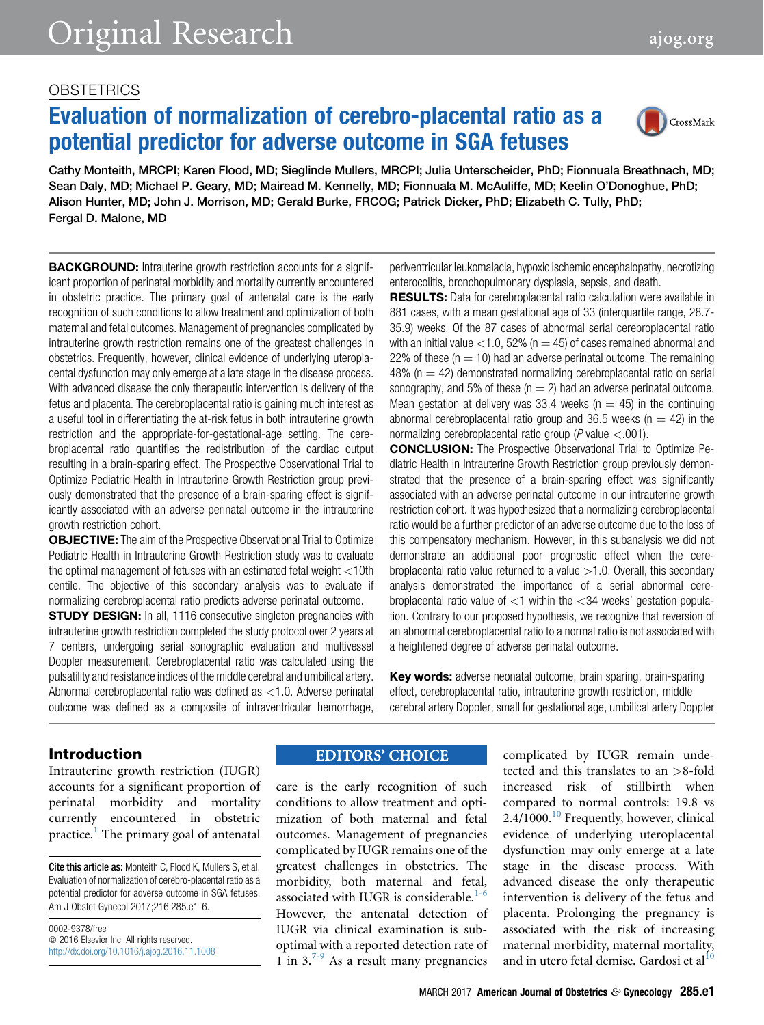## **OBSTETRICS**

# Evaluation of normalization of cerebro-placental ratio as a potential predictor for adverse outcome in SGA fetuses



Cathy Monteith, MRCPI; Karen Flood, MD; Sieglinde Mullers, MRCPI; Julia Unterscheider, PhD; Fionnuala Breathnach, MD; Sean Daly, MD; Michael P. Geary, MD; Mairead M. Kennelly, MD; Fionnuala M. McAuliffe, MD; Keelin O'Donoghue, PhD; Alison Hunter, MD; John J. Morrison, MD; Gerald Burke, FRCOG; Patrick Dicker, PhD; Elizabeth C. Tully, PhD; Fergal D. Malone, MD

**BACKGROUND:** Intrauterine growth restriction accounts for a significant proportion of perinatal morbidity and mortality currently encountered in obstetric practice. The primary goal of antenatal care is the early recognition of such conditions to allow treatment and optimization of both maternal and fetal outcomes. Management of pregnancies complicated by intrauterine growth restriction remains one of the greatest challenges in obstetrics. Frequently, however, clinical evidence of underlying uteroplacental dysfunction may only emerge at a late stage in the disease process. With advanced disease the only therapeutic intervention is delivery of the fetus and placenta. The cerebroplacental ratio is gaining much interest as a useful tool in differentiating the at-risk fetus in both intrauterine growth restriction and the appropriate-for-gestational-age setting. The cerebroplacental ratio quantifies the redistribution of the cardiac output resulting in a brain-sparing effect. The Prospective Observational Trial to Optimize Pediatric Health in Intrauterine Growth Restriction group previously demonstrated that the presence of a brain-sparing effect is significantly associated with an adverse perinatal outcome in the intrauterine growth restriction cohort.

OBJECTIVE: The aim of the Prospective Observational Trial to Optimize Pediatric Health in Intrauterine Growth Restriction study was to evaluate the optimal management of fetuses with an estimated fetal weight <10th centile. The objective of this secondary analysis was to evaluate if normalizing cerebroplacental ratio predicts adverse perinatal outcome.

**STUDY DESIGN:** In all, 1116 consecutive singleton pregnancies with intrauterine growth restriction completed the study protocol over 2 years at 7 centers, undergoing serial sonographic evaluation and multivessel Doppler measurement. Cerebroplacental ratio was calculated using the pulsatility and resistance indices of the middle cerebral and umbilical artery. Abnormal cerebroplacental ratio was defined as <1.0. Adverse perinatal outcome was defined as a composite of intraventricular hemorrhage,

periventricular leukomalacia, hypoxic ischemic encephalopathy, necrotizing enterocolitis, bronchopulmonary dysplasia, sepsis, and death.

RESULTS: Data for cerebroplacental ratio calculation were available in 881 cases, with a mean gestational age of 33 (interquartile range, 28.7- 35.9) weeks. Of the 87 cases of abnormal serial cerebroplacental ratio with an initial value  $<$ 1.0, 52% (n = 45) of cases remained abnormal and 22% of these ( $n = 10$ ) had an adverse perinatal outcome. The remaining  $48\%$  (n  $= 42$ ) demonstrated normalizing cerebroplacental ratio on serial sonography, and 5% of these ( $n = 2$ ) had an adverse perinatal outcome. Mean gestation at delivery was 33.4 weeks ( $n = 45$ ) in the continuing abnormal cerebroplacental ratio group and 36.5 weeks ( $n = 42$ ) in the normalizing cerebroplacental ratio group ( $P$  value  $\lt$ .001).

CONCLUSION: The Prospective Observational Trial to Optimize Pediatric Health in Intrauterine Growth Restriction group previously demonstrated that the presence of a brain-sparing effect was significantly associated with an adverse perinatal outcome in our intrauterine growth restriction cohort. It was hypothesized that a normalizing cerebroplacental ratio would be a further predictor of an adverse outcome due to the loss of this compensatory mechanism. However, in this subanalysis we did not demonstrate an additional poor prognostic effect when the cerebroplacental ratio value returned to a value  $>1.0$ . Overall, this secondary analysis demonstrated the importance of a serial abnormal cerebroplacental ratio value of  $\lt 1$  within the  $\lt 34$  weeks' gestation population. Contrary to our proposed hypothesis, we recognize that reversion of an abnormal cerebroplacental ratio to a normal ratio is not associated with a heightened degree of adverse perinatal outcome.

Key words: adverse neonatal outcome, brain sparing, brain-sparing effect, cerebroplacental ratio, intrauterine growth restriction, middle cerebral artery Doppler, small for gestational age, umbilical artery Doppler

## Introduction

Intrauterine growth restriction (IUGR) accounts for a significant proportion of perinatal morbidity and mortality currently encountered in obstetric practice.<sup>[1](#page-4-0)</sup> The primary goal of antenatal

Cite this article as: Monteith C, Flood K, Mullers S, et al. Evaluation of normalization of cerebro-placental ratio as a potential predictor for adverse outcome in SGA fetuses. Am J Obstet Gynecol 2017;216:285.e1-6.

0002-9378/free  $© 2016 Elsevier Inc. All rights reserved.$ <http://dx.doi.org/10.1016/j.ajog.2016.11.1008>

# **EDITORS' CHOICE**

care is the early recognition of such conditions to allow treatment and optimization of both maternal and fetal outcomes. Management of pregnancies complicated by IUGR remains one of the greatest challenges in obstetrics. The morbidity, both maternal and fetal, associated with IUGR is considerable.<sup>[1-6](#page-4-0)</sup> However, the antenatal detection of IUGR via clinical examination is suboptimal with a reported detection rate of 1 in  $3^{7-9}$  As a result many pregnancies complicated by IUGR remain undetected and this translates to an >8-fold increased risk of stillbirth when compared to normal controls: 19.8 vs 2.4/[10](#page-4-0)00.<sup>10</sup> Frequently, however, clinical evidence of underlying uteroplacental dysfunction may only emerge at a late stage in the disease process. With advanced disease the only therapeutic intervention is delivery of the fetus and placenta. Prolonging the pregnancy is associated with the risk of increasing maternal morbidity, maternal mortality, and in utero fetal demise. Gardosi et al $^{10}$  $^{10}$  $^{10}$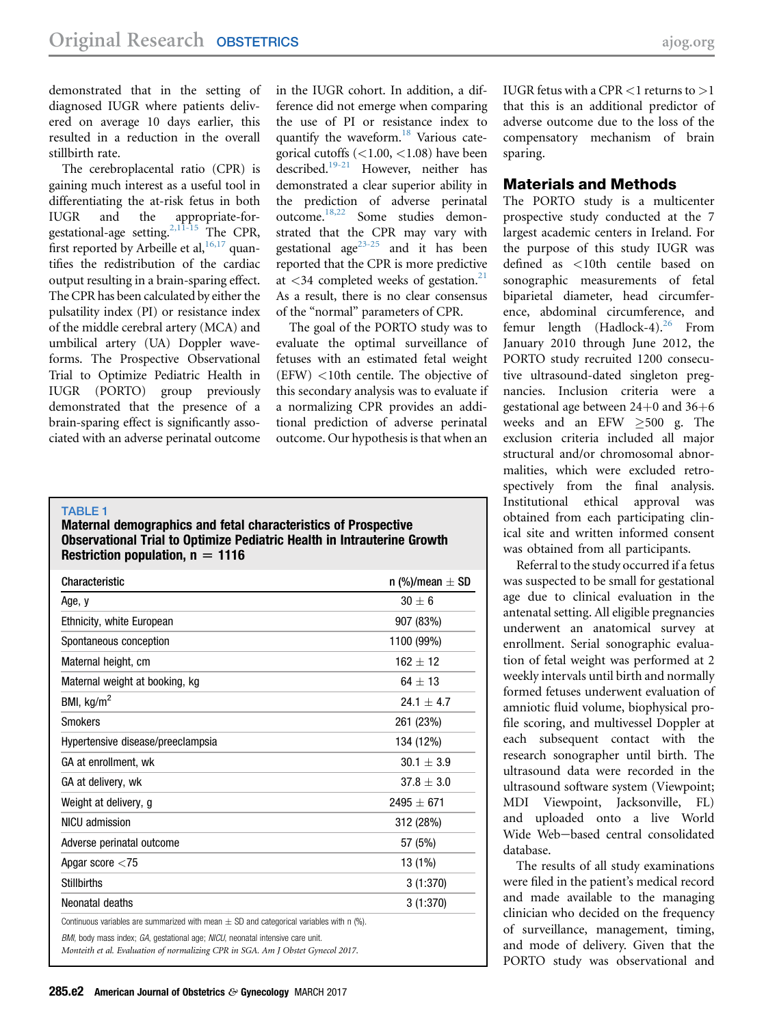<span id="page-1-0"></span>demonstrated that in the setting of diagnosed IUGR where patients delivered on average 10 days earlier, this resulted in a reduction in the overall stillbirth rate.

The cerebroplacental ratio (CPR) is gaining much interest as a useful tool in differentiating the at-risk fetus in both IUGR and the appropriate-forgestational-age setting.<sup>2,11-15</sup> The CPR, first reported by Arbeille et al,  $16,17$  quantifies the redistribution of the cardiac output resulting in a brain-sparing effect. The CPR has been calculated by either the pulsatility index (PI) or resistance index of the middle cerebral artery (MCA) and umbilical artery (UA) Doppler waveforms. The Prospective Observational Trial to Optimize Pediatric Health in IUGR (PORTO) group previously demonstrated that the presence of a brain-sparing effect is significantly associated with an adverse perinatal outcome

in the IUGR cohort. In addition, a difference did not emerge when comparing the use of PI or resistance index to quantify the waveform.<sup>18</sup> Various categorical cutoffs (<1.00, <1.08) have been described.<sup>[19-21](#page-4-0)</sup> However, neither has demonstrated a clear superior ability in the prediction of adverse perinatal outcome[.18,22](#page-4-0) Some studies demonstrated that the CPR may vary with gestational age<sup>[23-25](#page-5-0)</sup> and it has been reported that the CPR is more predictive at  $\lt 34$  completed weeks of gestation.<sup>[21](#page-4-0)</sup> As a result, there is no clear consensus of the "normal" parameters of CPR.

The goal of the PORTO study was to evaluate the optimal surveillance of fetuses with an estimated fetal weight (EFW) <10th centile. The objective of this secondary analysis was to evaluate if a normalizing CPR provides an additional prediction of adverse perinatal outcome. Our hypothesis is that when an

#### TABLE 1

Maternal demographics and fetal characteristics of Prospective Observational Trial to Optimize Pediatric Health in Intrauterine Growth Restriction population,  $n = 1116$ 

| Characteristic                                                                                                                                                    | n (%)/mean $\pm$ SD |
|-------------------------------------------------------------------------------------------------------------------------------------------------------------------|---------------------|
| Age, y                                                                                                                                                            | $30 + 6$            |
| Ethnicity, white European                                                                                                                                         | 907 (83%)           |
| Spontaneous conception                                                                                                                                            | 1100 (99%)          |
| Maternal height, cm                                                                                                                                               | $162 + 12$          |
| Maternal weight at booking, kg                                                                                                                                    | $64 + 13$           |
| BMI, $kg/m2$                                                                                                                                                      | $24.1 + 4.7$        |
| <b>Smokers</b>                                                                                                                                                    | 261 (23%)           |
| Hypertensive disease/preeclampsia                                                                                                                                 | 134 (12%)           |
| GA at enrollment, wk                                                                                                                                              | $30.1 \pm 3.9$      |
| GA at delivery, wk                                                                                                                                                | $37.8 \pm 3.0$      |
| Weight at delivery, g                                                                                                                                             | $2495 + 671$        |
| NICU admission                                                                                                                                                    | 312 (28%)           |
| Adverse perinatal outcome                                                                                                                                         | 57 (5%)             |
| Apgar score $<$ 75                                                                                                                                                | 13 (1%)             |
| <b>Stillbirths</b>                                                                                                                                                | 3(1:370)            |
| Neonatal deaths                                                                                                                                                   | 3(1:370)            |
| Continuous variables are summarized with mean $\pm$ SD and categorical variables with n (%).                                                                      |                     |
| BMI, body mass index; GA, gestational age; NICU, neonatal intensive care unit.<br>Monteith et al. Evaluation of normalizing CPR in SGA. Am I Obstet Gynecol 2017. |                     |

IUGR fetus with a CPR  $<$ 1 returns to  $>$ 1 that this is an additional predictor of adverse outcome due to the loss of the compensatory mechanism of brain sparing.

#### Materials and Methods

The PORTO study is a multicenter prospective study conducted at the 7 largest academic centers in Ireland. For the purpose of this study IUGR was defined as <10th centile based on sonographic measurements of fetal biparietal diameter, head circumference, abdominal circumference, and femur length  $(Hadlock-4)^{26}$  $(Hadlock-4)^{26}$  $(Hadlock-4)^{26}$  From January 2010 through June 2012, the PORTO study recruited 1200 consecutive ultrasound-dated singleton pregnancies. Inclusion criteria were a gestational age between  $24+0$  and  $36+6$ weeks and an EFW  $\geq 500$  g. The exclusion criteria included all major structural and/or chromosomal abnormalities, which were excluded retrospectively from the final analysis. Institutional ethical approval was obtained from each participating clinical site and written informed consent was obtained from all participants.

Referral to the study occurred if a fetus was suspected to be small for gestational age due to clinical evaluation in the antenatal setting. All eligible pregnancies underwent an anatomical survey at enrollment. Serial sonographic evaluation of fetal weight was performed at 2 weekly intervals until birth and normally formed fetuses underwent evaluation of amniotic fluid volume, biophysical profile scoring, and multivessel Doppler at each subsequent contact with the research sonographer until birth. The ultrasound data were recorded in the ultrasound software system (Viewpoint; MDI Viewpoint, Jacksonville, FL) and uploaded onto a live World Wide Web-based central consolidated database.

The results of all study examinations were filed in the patient's medical record and made available to the managing clinician who decided on the frequency of surveillance, management, timing, and mode of delivery. Given that the PORTO study was observational and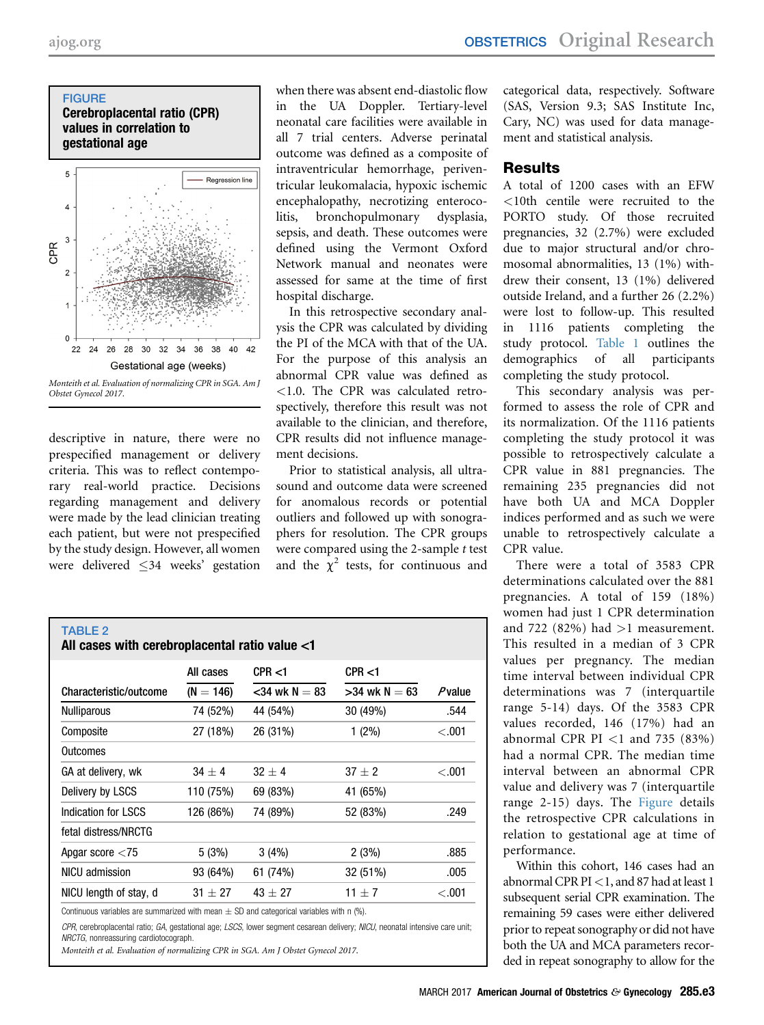#### <span id="page-2-0"></span>**FIGURE** Cerebroplacental ratio (CPR) values in correlation to gestational age



Monteith et al. Evaluation of normalizing CPR in SGA. Am J Obstet Gynecol 2017.

descriptive in nature, there were no prespecified management or delivery criteria. This was to reflect contemporary real-world practice. Decisions regarding management and delivery were made by the lead clinician treating each patient, but were not prespecified by the study design. However, all women were delivered 34 weeks' gestation

when there was absent end-diastolic flow in the UA Doppler. Tertiary-level neonatal care facilities were available in all 7 trial centers. Adverse perinatal outcome was defined as a composite of intraventricular hemorrhage, periventricular leukomalacia, hypoxic ischemic encephalopathy, necrotizing enterocolitis, bronchopulmonary dysplasia, sepsis, and death. These outcomes were defined using the Vermont Oxford Network manual and neonates were assessed for same at the time of first hospital discharge.

In this retrospective secondary analysis the CPR was calculated by dividing the PI of the MCA with that of the UA. For the purpose of this analysis an abnormal CPR value was defined as <1.0. The CPR was calculated retrospectively, therefore this result was not available to the clinician, and therefore, CPR results did not influence management decisions.

Prior to statistical analysis, all ultrasound and outcome data were screened for anomalous records or potential outliers and followed up with sonographers for resolution. The CPR groups were compared using the 2-sample  $t$  test and the  $\chi^2$  tests, for continuous and

| <b>TABLE 2</b><br>All cases with cerebroplacental ratio value <1 |             |                    |                 |           |  |  |
|------------------------------------------------------------------|-------------|--------------------|-----------------|-----------|--|--|
|                                                                  | All cases   | CPR < 1            | CPR < 1         |           |  |  |
| Characteristic/outcome                                           | $(N = 146)$ | $<$ 34 wk N $=$ 83 | $>34$ wk N = 63 | $P$ value |  |  |
| <b>Nulliparous</b>                                               | 74 (52%)    | 44 (54%)           | 30 (49%)        | .544      |  |  |
| Composite                                                        | 27 (18%)    | 26 (31%)           | $1(2\%)$        | < 0.001   |  |  |
| Outcomes                                                         |             |                    |                 |           |  |  |
| GA at delivery, wk                                               | $34 + 4$    | $32 + 4$           | $37 + 2$        | < 0.001   |  |  |
| Delivery by LSCS                                                 | 110 (75%)   | 69 (83%)           | 41 (65%)        |           |  |  |
| Indication for LSCS                                              | 126 (86%)   | 74 (89%)           | 52 (83%)        | .249      |  |  |
| fetal distress/NRCTG                                             |             |                    |                 |           |  |  |
| Apgar score $<$ 75                                               | 5(3%)       | 3(4%)              | 2(3%)           | .885      |  |  |
| NICU admission                                                   | 93 (64%)    | 61 (74%)           | 32(51%)         | .005      |  |  |
| NICU length of stay, d                                           | $31 + 27$   | $43 + 27$          | $11 + 7$        | < 0.001   |  |  |

Continuous variables are summarized with mean  $\pm$  SD and categorical variables with n (%).

CPR, cerebroplacental ratio; GA, gestational age; LSCS, lower segment cesarean delivery; NICU, neonatal intensive care unit; NRCTG, nonreassuring cardiotocograph.

Monteith et al. Evaluation of normalizing CPR in SGA. Am J Obstet Gynecol 2017.

categorical data, respectively. Software (SAS, Version 9.3; SAS Institute Inc, Cary, NC) was used for data management and statistical analysis.

## Results

A total of 1200 cases with an EFW <10th centile were recruited to the PORTO study. Of those recruited pregnancies, 32 (2.7%) were excluded due to major structural and/or chromosomal abnormalities, 13 (1%) withdrew their consent, 13 (1%) delivered outside Ireland, and a further 26 (2.2%) were lost to follow-up. This resulted in 1116 patients completing the study protocol. [Table 1](#page-1-0) outlines the demographics of all participants completing the study protocol.

This secondary analysis was performed to assess the role of CPR and its normalization. Of the 1116 patients completing the study protocol it was possible to retrospectively calculate a CPR value in 881 pregnancies. The remaining 235 pregnancies did not have both UA and MCA Doppler indices performed and as such we were unable to retrospectively calculate a CPR value.

There were a total of 3583 CPR determinations calculated over the 881 pregnancies. A total of 159 (18%) women had just 1 CPR determination and 722 (82%) had  $>1$  measurement. This resulted in a median of 3 CPR values per pregnancy. The median time interval between individual CPR determinations was 7 (interquartile range 5-14) days. Of the 3583 CPR values recorded, 146 (17%) had an abnormal CPR PI  $<$ 1 and 735 (83%) had a normal CPR. The median time interval between an abnormal CPR value and delivery was 7 (interquartile range 2-15) days. The Figure details the retrospective CPR calculations in relation to gestational age at time of performance.

Within this cohort, 146 cases had an abnormal CPR PI $<$ 1, and 87 had at least 1 subsequent serial CPR examination. The remaining 59 cases were either delivered prior to repeat sonography or did not have both the UA and MCA parameters recorded in repeat sonography to allow for the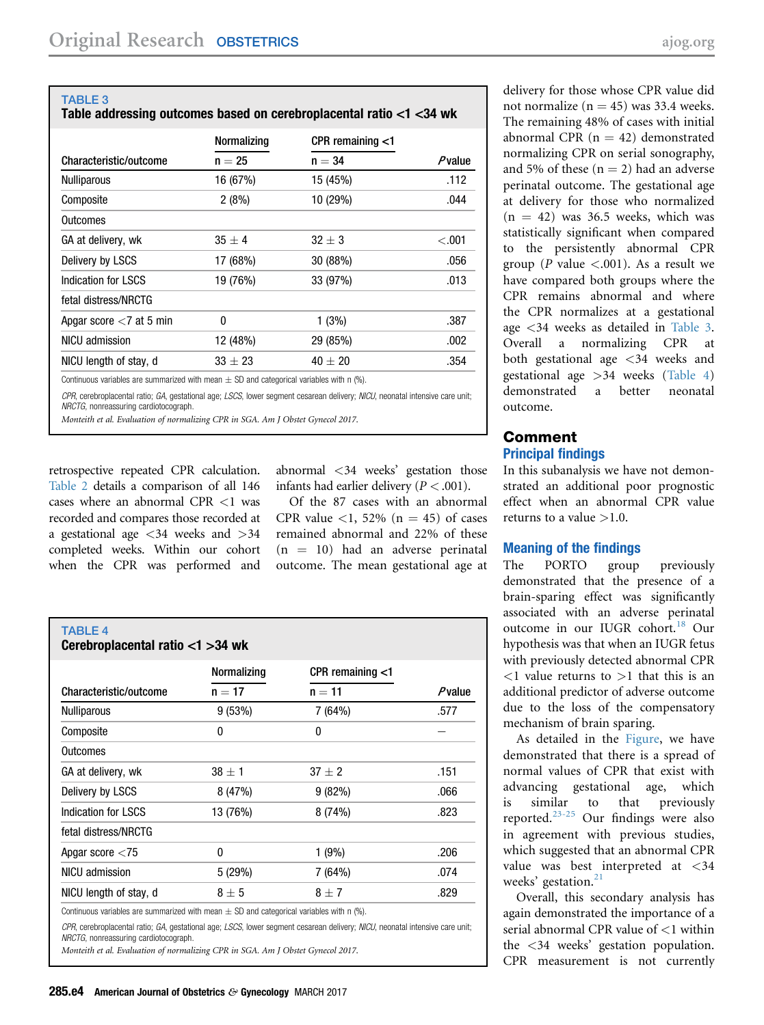TABLE 3 Table addressing outcomes based on cerebroplacental ratio <1 <34 wk

|                                                                                              | <b>Normalizing</b> | CPR remaining $<$ 1 |        |
|----------------------------------------------------------------------------------------------|--------------------|---------------------|--------|
| Characteristic/outcome                                                                       | $n = 25$           | $n = 34$            | Pvalue |
| <b>Nulliparous</b>                                                                           | 16 (67%)           | 15 (45%)            | .112   |
| Composite                                                                                    | 2(8%)              | 10 (29%)            | .044   |
| Outcomes                                                                                     |                    |                     |        |
| GA at delivery, wk                                                                           | $35 + 4$           | $32 + 3$            | < 0.01 |
| Delivery by LSCS                                                                             | 17 (68%)           | 30 (88%)            | .056   |
| Indication for LSCS                                                                          | 19 (76%)           | 33 (97%)            | .013   |
| fetal distress/NRCTG                                                                         |                    |                     |        |
| Apgar score $<$ 7 at 5 min                                                                   | $\Omega$           | 1(3%)               | .387   |
| NICU admission                                                                               | 12 (48%)           | 29 (85%)            | .002   |
| NICU length of stay, d                                                                       | $33 + 23$          | $40 + 20$           | .354   |
| Continuous variables are summarized with mean $\pm$ SD and categorical variables with n (%). |                    |                     |        |

CPR, cerebroplacental ratio; GA, gestational age; LSCS, lower segment cesarean delivery; NICU, neonatal intensive care unit; NRCTG, nonreassuring cardiotocograph.

Monteith et al. Evaluation of normalizing CPR in SGA. Am J Obstet Gynecol 2017.

retrospective repeated CPR calculation. [Table 2](#page-2-0) details a comparison of all 146 cases where an abnormal CPR <1 was recorded and compares those recorded at a gestational age <34 weeks and >34 completed weeks. Within our cohort when the CPR was performed and

abnormal <34 weeks' gestation those infants had earlier delivery ( $P < .001$ ).

Of the 87 cases with an abnormal CPR value  $\langle 1, 52\% \rangle$  (n = 45) of cases remained abnormal and 22% of these  $(n = 10)$  had an adverse perinatal outcome. The mean gestational age at

| <b>TABLE 4</b><br>Cerebroplacental ratio <1 >34 wk |              |                     |           |  |  |
|----------------------------------------------------|--------------|---------------------|-----------|--|--|
|                                                    | Normalizing  | CPR remaining $<$ 1 |           |  |  |
| Characteristic/outcome                             | $n = 17$     | $n = 11$            | $P$ value |  |  |
| <b>Nulliparous</b>                                 | 9(53%)       | 7 (64%)             | .577      |  |  |
| Composite                                          | $\mathbf{0}$ | 0                   |           |  |  |
| <b>Outcomes</b>                                    |              |                     |           |  |  |
| GA at delivery, wk                                 | $38 \pm 1$   | $37 + 2$            | .151      |  |  |
| Delivery by LSCS                                   | 8(47%)       | 9(82%)              | .066      |  |  |
| Indication for LSCS                                | 13 (76%)     | 8(74%)              | .823      |  |  |
| fetal distress/NRCTG                               |              |                     |           |  |  |
| Apgar score $<$ 75                                 | 0            | 1(9%)               | .206      |  |  |
| NICU admission                                     | 5(29%)       | 7 (64%)             | .074      |  |  |
| NICU length of stay, d                             | $8 \pm 5$    | $8 \pm 7$           | .829      |  |  |

Continuous variables are summarized with mean  $\pm$  SD and categorical variables with n (%).

CPR, cerebroplacental ratio; GA, gestational age; LSCS, lower segment cesarean delivery; NICU, neonatal intensive care unit; NRCTG, nonreassuring cardiotocograph.

Monteith et al. Evaluation of normalizing CPR in SGA. Am J Obstet Gynecol 2017.

delivery for those whose CPR value did not normalize ( $n = 45$ ) was 33.4 weeks. The remaining 48% of cases with initial abnormal CPR  $(n = 42)$  demonstrated normalizing CPR on serial sonography, and 5% of these  $(n = 2)$  had an adverse perinatal outcome. The gestational age at delivery for those who normalized  $(n = 42)$  was 36.5 weeks, which was statistically significant when compared to the persistently abnormal CPR group (P value  $\langle .001 \rangle$ ). As a result we have compared both groups where the CPR remains abnormal and where the CPR normalizes at a gestational age <34 weeks as detailed in Table 3. Overall a normalizing CPR at both gestational age <34 weeks and gestational age >34 weeks (Table 4) demonstrated a better neonatal outcome.

## Comment Principal findings

In this subanalysis we have not demonstrated an additional poor prognostic effect when an abnormal CPR value returns to a value  $>1.0$ .

## Meaning of the findings

The PORTO group previously demonstrated that the presence of a brain-sparing effect was significantly associated with an adverse perinatal outcome in our IUGR cohort.<sup>[18](#page-4-0)</sup> Our hypothesis was that when an IUGR fetus with previously detected abnormal CPR  $\langle 1 \rangle$  value returns to  $>1$  that this is an additional predictor of adverse outcome due to the loss of the compensatory mechanism of brain sparing.

As detailed in the [Figure](#page-2-0), we have demonstrated that there is a spread of normal values of CPR that exist with advancing gestational age, which is similar to that previously reported.[23-25](#page-5-0) Our findings were also in agreement with previous studies, which suggested that an abnormal CPR value was best interpreted at <34 weeks' gestation.<sup>[21](#page-4-0)</sup>

Overall, this secondary analysis has again demonstrated the importance of a serial abnormal CPR value of <1 within the <34 weeks' gestation population. CPR measurement is not currently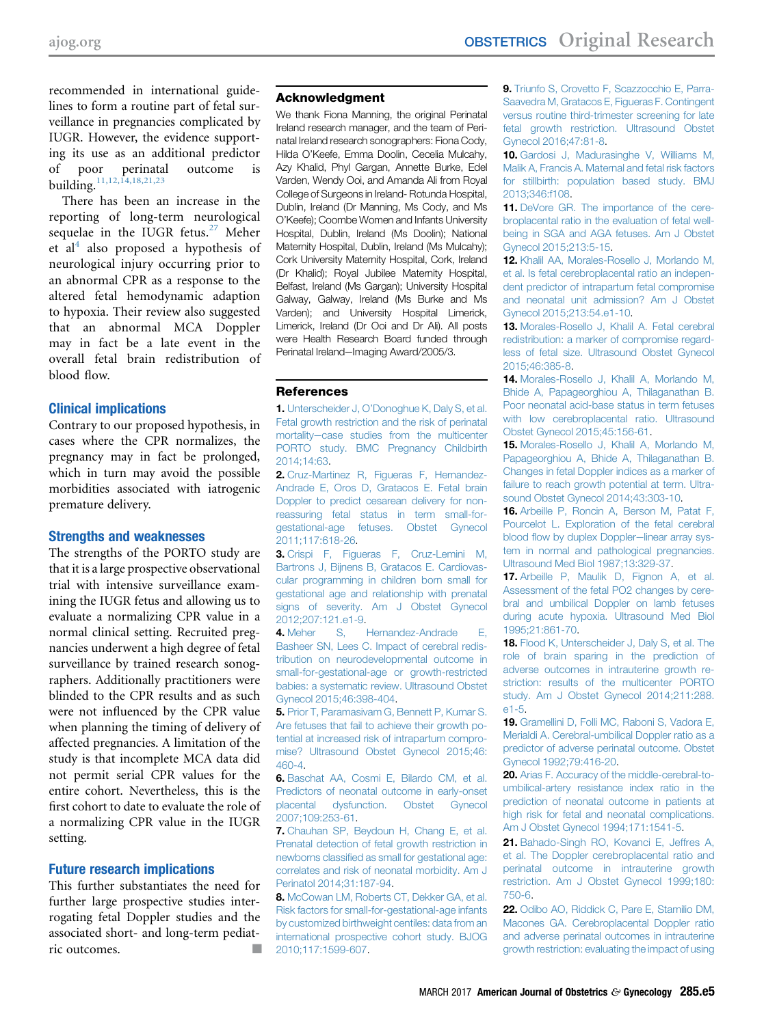<span id="page-4-0"></span>recommended in international guidelines to form a routine part of fetal surveillance in pregnancies complicated by IUGR. However, the evidence supporting its use as an additional predictor of poor perinatal outcome is building.11,12,14,18,21,23

There has been an increase in the reporting of long-term neurological sequelae in the IUGR fetus. $27$  Meher et al<sup>4</sup> also proposed a hypothesis of neurological injury occurring prior to an abnormal CPR as a response to the altered fetal hemodynamic adaption to hypoxia. Their review also suggested that an abnormal MCA Doppler may in fact be a late event in the overall fetal brain redistribution of blood flow.

## Clinical implications

Contrary to our proposed hypothesis, in cases where the CPR normalizes, the pregnancy may in fact be prolonged, which in turn may avoid the possible morbidities associated with iatrogenic premature delivery.

## Strengths and weaknesses

The strengths of the PORTO study are that it is a large prospective observational trial with intensive surveillance examining the IUGR fetus and allowing us to evaluate a normalizing CPR value in a normal clinical setting. Recruited pregnancies underwent a high degree of fetal surveillance by trained research sonographers. Additionally practitioners were blinded to the CPR results and as such were not influenced by the CPR value when planning the timing of delivery of affected pregnancies. A limitation of the study is that incomplete MCA data did not permit serial CPR values for the entire cohort. Nevertheless, this is the first cohort to date to evaluate the role of a normalizing CPR value in the IUGR setting.

## Future research implications

This further substantiates the need for further large prospective studies interrogating fetal Doppler studies and the associated short- and long-term pediatric outcomes.

## Acknowledgment

We thank Fiona Manning, the original Perinatal Ireland research manager, and the team of Perinatal Ireland research sonographers: Fiona Cody, Hilda O'Keefe, Emma Doolin, Cecelia Mulcahy, Azy Khalid, Phyl Gargan, Annette Burke, Edel Varden, Wendy Ooi, and Amanda Ali from Royal College of Surgeons in Ireland- Rotunda Hospital, Dublin, Ireland (Dr Manning, Ms Cody, and Ms O'Keefe); Coombe Women and Infants University Hospital, Dublin, Ireland (Ms Doolin); National Maternity Hospital, Dublin, Ireland (Ms Mulcahy); Cork University Maternity Hospital, Cork, Ireland (Dr Khalid); Royal Jubilee Maternity Hospital, Belfast, Ireland (Ms Gargan); University Hospital Galway, Galway, Ireland (Ms Burke and Ms Varden); and University Hospital Limerick, Limerick, Ireland (Dr Ooi and Dr Ali). All posts were Health Research Board funded through Perinatal Ireland-Imaging Award/2005/3.

## References

1. Unterscheider J, O'[Donoghue K, Daly S, et al.](http://refhub.elsevier.com/S0002-9378(16)31988-3/sref1) [Fetal growth restriction and the risk of perinatal](http://refhub.elsevier.com/S0002-9378(16)31988-3/sref1) mortality-[case studies from the multicenter](http://refhub.elsevier.com/S0002-9378(16)31988-3/sref1) [PORTO study. BMC Pregnancy Childbirth](http://refhub.elsevier.com/S0002-9378(16)31988-3/sref1) [2014;14:63.](http://refhub.elsevier.com/S0002-9378(16)31988-3/sref1)

2. [Cruz-Martinez R, Figueras F, Hernandez-](http://refhub.elsevier.com/S0002-9378(16)31988-3/sref2)[Andrade E, Oros D, Gratacos E. Fetal brain](http://refhub.elsevier.com/S0002-9378(16)31988-3/sref2) [Doppler to predict cesarean delivery for non](http://refhub.elsevier.com/S0002-9378(16)31988-3/sref2)[reassuring fetal status in term small-for](http://refhub.elsevier.com/S0002-9378(16)31988-3/sref2)[gestational-age fetuses. Obstet Gynecol](http://refhub.elsevier.com/S0002-9378(16)31988-3/sref2) [2011;117:618-26](http://refhub.elsevier.com/S0002-9378(16)31988-3/sref2).

3. [Crispi F, Figueras F, Cruz-Lemini M,](http://refhub.elsevier.com/S0002-9378(16)31988-3/sref3) [Bartrons J, Bijnens B, Gratacos E. Cardiovas](http://refhub.elsevier.com/S0002-9378(16)31988-3/sref3)[cular programming in children born small for](http://refhub.elsevier.com/S0002-9378(16)31988-3/sref3) [gestational age and relationship with prenatal](http://refhub.elsevier.com/S0002-9378(16)31988-3/sref3) [signs of severity. Am J Obstet Gynecol](http://refhub.elsevier.com/S0002-9378(16)31988-3/sref3) [2012;207:121.e1-9](http://refhub.elsevier.com/S0002-9378(16)31988-3/sref3).

4. [Meher S, Hernandez-Andrade E,](http://refhub.elsevier.com/S0002-9378(16)31988-3/sref4) [Basheer SN, Lees C. Impact of cerebral redis](http://refhub.elsevier.com/S0002-9378(16)31988-3/sref4)[tribution on neurodevelopmental outcome in](http://refhub.elsevier.com/S0002-9378(16)31988-3/sref4) [small-for-gestational-age or growth-restricted](http://refhub.elsevier.com/S0002-9378(16)31988-3/sref4) [babies: a systematic review. Ultrasound Obstet](http://refhub.elsevier.com/S0002-9378(16)31988-3/sref4) [Gynecol 2015;46:398-404.](http://refhub.elsevier.com/S0002-9378(16)31988-3/sref4)

5. [Prior T, Paramasivam G, Bennett P, Kumar S.](http://refhub.elsevier.com/S0002-9378(16)31988-3/sref5) [Are fetuses that fail to achieve their growth po](http://refhub.elsevier.com/S0002-9378(16)31988-3/sref5)[tential at increased risk of intrapartum compro](http://refhub.elsevier.com/S0002-9378(16)31988-3/sref5)[mise? Ultrasound Obstet Gynecol 2015;46:](http://refhub.elsevier.com/S0002-9378(16)31988-3/sref5) [460-4.](http://refhub.elsevier.com/S0002-9378(16)31988-3/sref5)

6. [Baschat AA, Cosmi E, Bilardo CM, et al.](http://refhub.elsevier.com/S0002-9378(16)31988-3/sref6) [Predictors of neonatal outcome in early-onset](http://refhub.elsevier.com/S0002-9378(16)31988-3/sref6) [placental dysfunction. Obstet Gynecol](http://refhub.elsevier.com/S0002-9378(16)31988-3/sref6) [2007;109:253-61](http://refhub.elsevier.com/S0002-9378(16)31988-3/sref6).

7. [Chauhan SP, Beydoun H, Chang E, et al.](http://refhub.elsevier.com/S0002-9378(16)31988-3/sref7) [Prenatal detection of fetal growth restriction in](http://refhub.elsevier.com/S0002-9378(16)31988-3/sref7) newborns classifi[ed as small for gestational age:](http://refhub.elsevier.com/S0002-9378(16)31988-3/sref7) [correlates and risk of neonatal morbidity. Am J](http://refhub.elsevier.com/S0002-9378(16)31988-3/sref7) [Perinatol 2014;31:187-94](http://refhub.elsevier.com/S0002-9378(16)31988-3/sref7).

8. [McCowan LM, Roberts CT, Dekker GA, et al.](http://refhub.elsevier.com/S0002-9378(16)31988-3/sref8) [Risk factors for small-for-gestational-age infants](http://refhub.elsevier.com/S0002-9378(16)31988-3/sref8) [by customized birthweight centiles: data from an](http://refhub.elsevier.com/S0002-9378(16)31988-3/sref8) [international prospective cohort study. BJOG](http://refhub.elsevier.com/S0002-9378(16)31988-3/sref8) [2010;117:1599-607.](http://refhub.elsevier.com/S0002-9378(16)31988-3/sref8)

9. [Triunfo S, Crovetto F, Scazzocchio E, Parra-](http://refhub.elsevier.com/S0002-9378(16)31988-3/sref9)[Saavedra M, Gratacos E, Figueras F. Contingent](http://refhub.elsevier.com/S0002-9378(16)31988-3/sref9) [versus routine third-trimester screening for late](http://refhub.elsevier.com/S0002-9378(16)31988-3/sref9) [fetal growth restriction. Ultrasound Obstet](http://refhub.elsevier.com/S0002-9378(16)31988-3/sref9) [Gynecol 2016;47:81-8](http://refhub.elsevier.com/S0002-9378(16)31988-3/sref9).

10. [Gardosi J, Madurasinghe V, Williams M,](http://refhub.elsevier.com/S0002-9378(16)31988-3/sref10) [Malik A, Francis A. Maternal and fetal risk factors](http://refhub.elsevier.com/S0002-9378(16)31988-3/sref10) [for stillbirth: population based study. BMJ](http://refhub.elsevier.com/S0002-9378(16)31988-3/sref10) [2013;346:f108.](http://refhub.elsevier.com/S0002-9378(16)31988-3/sref10)

11. [DeVore GR. The importance of the cere](http://refhub.elsevier.com/S0002-9378(16)31988-3/sref11)[broplacental ratio in the evaluation of fetal well](http://refhub.elsevier.com/S0002-9378(16)31988-3/sref11)[being in SGA and AGA fetuses. Am J Obstet](http://refhub.elsevier.com/S0002-9378(16)31988-3/sref11) [Gynecol 2015;213:5-15](http://refhub.elsevier.com/S0002-9378(16)31988-3/sref11).

12. [Khalil AA, Morales-Rosello J, Morlando M,](http://refhub.elsevier.com/S0002-9378(16)31988-3/sref12) [et al. Is fetal cerebroplacental ratio an indepen](http://refhub.elsevier.com/S0002-9378(16)31988-3/sref12)[dent predictor of intrapartum fetal compromise](http://refhub.elsevier.com/S0002-9378(16)31988-3/sref12) [and neonatal unit admission? Am J Obstet](http://refhub.elsevier.com/S0002-9378(16)31988-3/sref12) [Gynecol 2015;213:54.e1-10](http://refhub.elsevier.com/S0002-9378(16)31988-3/sref12).

13. [Morales-Rosello J, Khalil A. Fetal cerebral](http://refhub.elsevier.com/S0002-9378(16)31988-3/sref13) [redistribution: a marker of compromise regard](http://refhub.elsevier.com/S0002-9378(16)31988-3/sref13)[less of fetal size. Ultrasound Obstet Gynecol](http://refhub.elsevier.com/S0002-9378(16)31988-3/sref13) [2015;46:385-8.](http://refhub.elsevier.com/S0002-9378(16)31988-3/sref13)

14. [Morales-Rosello J, Khalil A, Morlando M,](http://refhub.elsevier.com/S0002-9378(16)31988-3/sref14) [Bhide A, Papageorghiou A, Thilaganathan B.](http://refhub.elsevier.com/S0002-9378(16)31988-3/sref14) [Poor neonatal acid-base status in term fetuses](http://refhub.elsevier.com/S0002-9378(16)31988-3/sref14) [with low cerebroplacental ratio. Ultrasound](http://refhub.elsevier.com/S0002-9378(16)31988-3/sref14) [Obstet Gynecol 2015;45:156-61.](http://refhub.elsevier.com/S0002-9378(16)31988-3/sref14)

15. [Morales-Rosello J, Khalil A, Morlando M,](http://refhub.elsevier.com/S0002-9378(16)31988-3/sref15) [Papageorghiou A, Bhide A, Thilaganathan B.](http://refhub.elsevier.com/S0002-9378(16)31988-3/sref15) [Changes in fetal Doppler indices as a marker of](http://refhub.elsevier.com/S0002-9378(16)31988-3/sref15) [failure to reach growth potential at term. Ultra](http://refhub.elsevier.com/S0002-9378(16)31988-3/sref15)[sound Obstet Gynecol 2014;43:303-10](http://refhub.elsevier.com/S0002-9378(16)31988-3/sref15).

16. [Arbeille P, Roncin A, Berson M, Patat F,](http://refhub.elsevier.com/S0002-9378(16)31988-3/sref16) [Pourcelot L. Exploration of the fetal cerebral](http://refhub.elsevier.com/S0002-9378(16)31988-3/sref16) blood fl[ow by duplex Doppler](http://refhub.elsevier.com/S0002-9378(16)31988-3/sref16)-linear array sys[tem in normal and pathological pregnancies.](http://refhub.elsevier.com/S0002-9378(16)31988-3/sref16) [Ultrasound Med Biol 1987;13:329-37.](http://refhub.elsevier.com/S0002-9378(16)31988-3/sref16)

17. [Arbeille P, Maulik D, Fignon A, et al.](http://refhub.elsevier.com/S0002-9378(16)31988-3/sref17) [Assessment of the fetal PO2 changes by cere](http://refhub.elsevier.com/S0002-9378(16)31988-3/sref17)[bral and umbilical Doppler on lamb fetuses](http://refhub.elsevier.com/S0002-9378(16)31988-3/sref17) [during acute hypoxia. Ultrasound Med Biol](http://refhub.elsevier.com/S0002-9378(16)31988-3/sref17) [1995;21:861-70](http://refhub.elsevier.com/S0002-9378(16)31988-3/sref17).

18. [Flood K, Unterscheider J, Daly S, et al. The](http://refhub.elsevier.com/S0002-9378(16)31988-3/sref18) [role of brain sparing in the prediction of](http://refhub.elsevier.com/S0002-9378(16)31988-3/sref18) [adverse outcomes in intrauterine growth re](http://refhub.elsevier.com/S0002-9378(16)31988-3/sref18)[striction: results of the multicenter PORTO](http://refhub.elsevier.com/S0002-9378(16)31988-3/sref18) [study. Am J Obstet Gynecol 2014;211:288.](http://refhub.elsevier.com/S0002-9378(16)31988-3/sref18) [e1-5](http://refhub.elsevier.com/S0002-9378(16)31988-3/sref18).

19. [Gramellini D, Folli MC, Raboni S, Vadora E,](http://refhub.elsevier.com/S0002-9378(16)31988-3/sref19) [Merialdi A. Cerebral-umbilical Doppler ratio as a](http://refhub.elsevier.com/S0002-9378(16)31988-3/sref19) [predictor of adverse perinatal outcome. Obstet](http://refhub.elsevier.com/S0002-9378(16)31988-3/sref19) [Gynecol 1992;79:416-20.](http://refhub.elsevier.com/S0002-9378(16)31988-3/sref19)

20. [Arias F. Accuracy of the middle-cerebral-to](http://refhub.elsevier.com/S0002-9378(16)31988-3/sref20)[umbilical-artery resistance index ratio in the](http://refhub.elsevier.com/S0002-9378(16)31988-3/sref20) [prediction of neonatal outcome in patients at](http://refhub.elsevier.com/S0002-9378(16)31988-3/sref20) [high risk for fetal and neonatal complications.](http://refhub.elsevier.com/S0002-9378(16)31988-3/sref20) [Am J Obstet Gynecol 1994;171:1541-5](http://refhub.elsevier.com/S0002-9378(16)31988-3/sref20).

21. [Bahado-Singh RO, Kovanci E, Jeffres A,](http://refhub.elsevier.com/S0002-9378(16)31988-3/sref21) [et al. The Doppler cerebroplacental ratio and](http://refhub.elsevier.com/S0002-9378(16)31988-3/sref21) [perinatal outcome in intrauterine growth](http://refhub.elsevier.com/S0002-9378(16)31988-3/sref21) [restriction. Am J Obstet Gynecol 1999;180:](http://refhub.elsevier.com/S0002-9378(16)31988-3/sref21) [750-6](http://refhub.elsevier.com/S0002-9378(16)31988-3/sref21).

22. [Odibo AO, Riddick C, Pare E, Stamilio DM,](http://refhub.elsevier.com/S0002-9378(16)31988-3/sref22) [Macones GA. Cerebroplacental Doppler ratio](http://refhub.elsevier.com/S0002-9378(16)31988-3/sref22) [and adverse perinatal outcomes in intrauterine](http://refhub.elsevier.com/S0002-9378(16)31988-3/sref22) [growth restriction: evaluating the impact of using](http://refhub.elsevier.com/S0002-9378(16)31988-3/sref22)